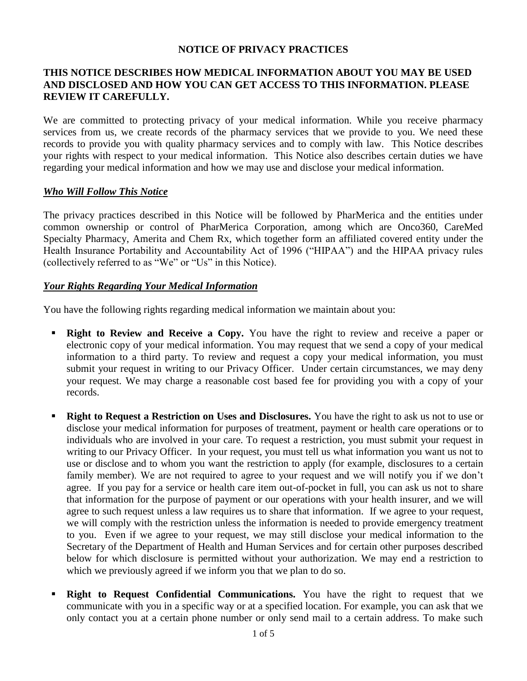#### **NOTICE OF PRIVACY PRACTICES**

## **THIS NOTICE DESCRIBES HOW MEDICAL INFORMATION ABOUT YOU MAY BE USED AND DISCLOSED AND HOW YOU CAN GET ACCESS TO THIS INFORMATION. PLEASE REVIEW IT CAREFULLY.**

We are committed to protecting privacy of your medical information. While you receive pharmacy services from us, we create records of the pharmacy services that we provide to you. We need these records to provide you with quality pharmacy services and to comply with law. This Notice describes your rights with respect to your medical information. This Notice also describes certain duties we have regarding your medical information and how we may use and disclose your medical information.

#### *Who Will Follow This Notice*

The privacy practices described in this Notice will be followed by PharMerica and the entities under common ownership or control of PharMerica Corporation, among which are Onco360, CareMed Specialty Pharmacy, Amerita and Chem Rx, which together form an affiliated covered entity under the Health Insurance Portability and Accountability Act of 1996 ("HIPAA") and the HIPAA privacy rules (collectively referred to as "We" or "Us" in this Notice).

### *Your Rights Regarding Your Medical Information*

You have the following rights regarding medical information we maintain about you:

- **Right to Review and Receive a Copy.** You have the right to review and receive a paper or electronic copy of your medical information. You may request that we send a copy of your medical information to a third party. To review and request a copy your medical information, you must submit your request in writing to our Privacy Officer. Under certain circumstances, we may deny your request. We may charge a reasonable cost based fee for providing you with a copy of your records.
- **Right to Request a Restriction on Uses and Disclosures.** You have the right to ask us not to use or disclose your medical information for purposes of treatment, payment or health care operations or to individuals who are involved in your care. To request a restriction, you must submit your request in writing to our Privacy Officer. In your request, you must tell us what information you want us not to use or disclose and to whom you want the restriction to apply (for example, disclosures to a certain family member). We are not required to agree to your request and we will notify you if we don't agree. If you pay for a service or health care item out-of-pocket in full, you can ask us not to share that information for the purpose of payment or our operations with your health insurer, and we will agree to such request unless a law requires us to share that information. If we agree to your request, we will comply with the restriction unless the information is needed to provide emergency treatment to you. Even if we agree to your request, we may still disclose your medical information to the Secretary of the Department of Health and Human Services and for certain other purposes described below for which disclosure is permitted without your authorization. We may end a restriction to which we previously agreed if we inform you that we plan to do so.
- **Right to Request Confidential Communications.** You have the right to request that we communicate with you in a specific way or at a specified location. For example, you can ask that we only contact you at a certain phone number or only send mail to a certain address. To make such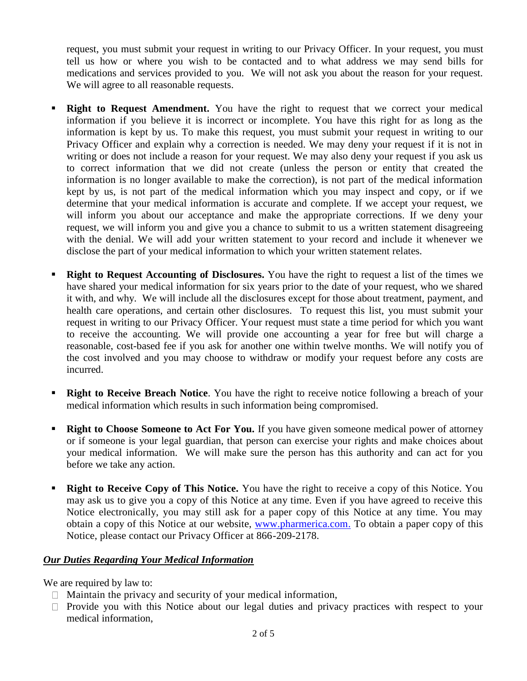request, you must submit your request in writing to our Privacy Officer. In your request, you must tell us how or where you wish to be contacted and to what address we may send bills for medications and services provided to you. We will not ask you about the reason for your request. We will agree to all reasonable requests.

- **Right to Request Amendment.** You have the right to request that we correct your medical information if you believe it is incorrect or incomplete. You have this right for as long as the information is kept by us. To make this request, you must submit your request in writing to our Privacy Officer and explain why a correction is needed. We may deny your request if it is not in writing or does not include a reason for your request. We may also deny your request if you ask us to correct information that we did not create (unless the person or entity that created the information is no longer available to make the correction), is not part of the medical information kept by us, is not part of the medical information which you may inspect and copy, or if we determine that your medical information is accurate and complete. If we accept your request, we will inform you about our acceptance and make the appropriate corrections. If we deny your request, we will inform you and give you a chance to submit to us a written statement disagreeing with the denial. We will add your written statement to your record and include it whenever we disclose the part of your medical information to which your written statement relates.
- **Right to Request Accounting of Disclosures.** You have the right to request a list of the times we have shared your medical information for six years prior to the date of your request, who we shared it with, and why. We will include all the disclosures except for those about treatment, payment, and health care operations, and certain other disclosures. To request this list, you must submit your request in writing to our Privacy Officer. Your request must state a time period for which you want to receive the accounting. We will provide one accounting a year for free but will charge a reasonable, cost-based fee if you ask for another one within twelve months. We will notify you of the cost involved and you may choose to withdraw or modify your request before any costs are incurred.
- **Right to Receive Breach Notice**. You have the right to receive notice following a breach of your medical information which results in such information being compromised.
- **Right to Choose Someone to Act For You.** If you have given someone medical power of attorney or if someone is your legal guardian, that person can exercise your rights and make choices about your medical information. We will make sure the person has this authority and can act for you before we take any action.
- **Right to Receive Copy of This Notice.** You have the right to receive a copy of this Notice. You may ask us to give you a copy of this Notice at any time. Even if you have agreed to receive this Notice electronically, you may still ask for a paper copy of this Notice at any time. You may obtain a copy of this Notice at our website, [www.pharmerica.com.](http://www.pharmerica.com/) To obtain a paper copy of this Notice, please contact our Privacy Officer at 866-209-2178.

#### *Our Duties Regarding Your Medical Information*

We are required by law to:

- $\Box$  Maintain the privacy and security of your medical information,
- $\Box$  Provide you with this Notice about our legal duties and privacy practices with respect to your medical information,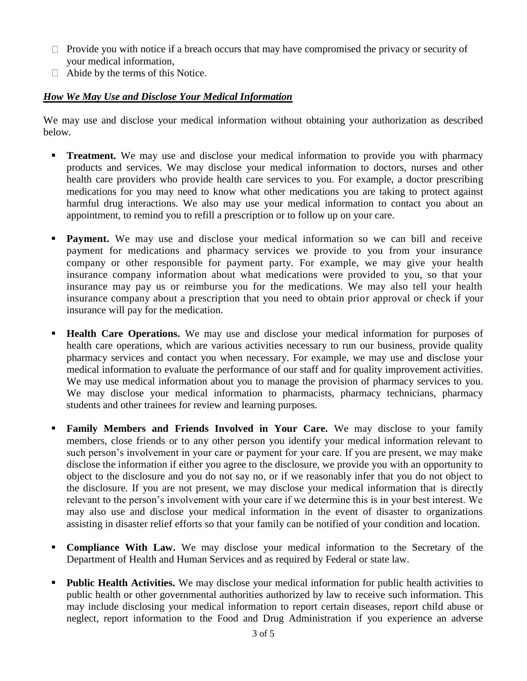- $\Box$  Provide you with notice if a breach occurs that may have compromised the privacy or security of your medical information,
- $\Box$  Abide by the terms of this Notice.

# *How We May Use and Disclose Your Medical Information*

We may use and disclose your medical information without obtaining your authorization as described below.

- **Treatment.** We may use and disclose your medical information to provide you with pharmacy products and services. We may disclose your medical information to doctors, nurses and other health care providers who provide health care services to you. For example, a doctor prescribing medications for you may need to know what other medications you are taking to protect against harmful drug interactions. We also may use your medical information to contact you about an appointment, to remind you to refill a prescription or to follow up on your care.
- **Payment.** We may use and disclose your medical information so we can bill and receive payment for medications and pharmacy services we provide to you from your insurance company or other responsible for payment party. For example, we may give your health insurance company information about what medications were provided to you, so that your insurance may pay us or reimburse you for the medications. We may also tell your health insurance company about a prescription that you need to obtain prior approval or check if your insurance will pay for the medication.
- **Health Care Operations.** We may use and disclose your medical information for purposes of health care operations, which are various activities necessary to run our business, provide quality pharmacy services and contact you when necessary. For example, we may use and disclose your medical information to evaluate the performance of our staff and for quality improvement activities. We may use medical information about you to manage the provision of pharmacy services to you. We may disclose your medical information to pharmacists, pharmacy technicians, pharmacy students and other trainees for review and learning purposes.
- **Family Members and Friends Involved in Your Care.** We may disclose to your family members, close friends or to any other person you identify your medical information relevant to such person's involvement in your care or payment for your care. If you are present, we may make disclose the information if either you agree to the disclosure, we provide you with an opportunity to object to the disclosure and you do not say no, or if we reasonably infer that you do not object to the disclosure. If you are not present, we may disclose your medical information that is directly relevant to the person's involvement with your care if we determine this is in your best interest. We may also use and disclose your medical information in the event of disaster to organizations assisting in disaster relief efforts so that your family can be notified of your condition and location.
- **Compliance With Law.** We may disclose your medical information to the Secretary of the Department of Health and Human Services and as required by Federal or state law.
- **Public Health Activities.** We may disclose your medical information for public health activities to public health or other governmental authorities authorized by law to receive such information. This may include disclosing your medical information to report certain diseases, report child abuse or neglect, report information to the Food and Drug Administration if you experience an adverse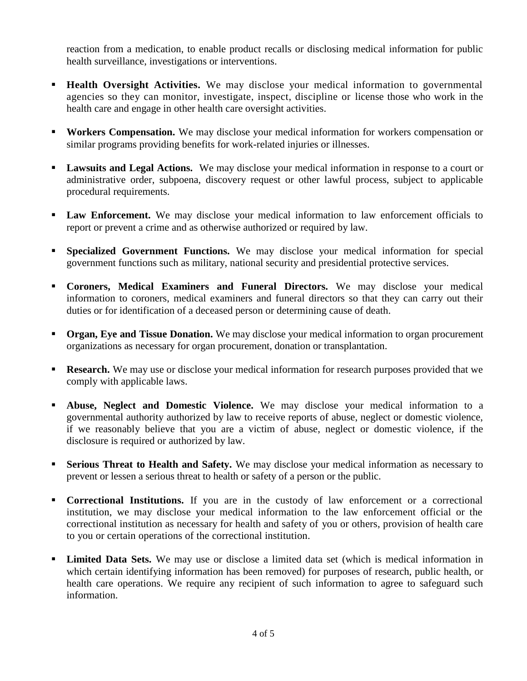reaction from a medication, to enable product recalls or disclosing medical information for public health surveillance, investigations or interventions.

- **Health Oversight Activities.** We may disclose your medical information to governmental agencies so they can monitor, investigate, inspect, discipline or license those who work in the health care and engage in other health care oversight activities.
- **Workers Compensation.** We may disclose your medical information for workers compensation or similar programs providing benefits for work-related injuries or illnesses.
- **Lawsuits and Legal Actions.** We may disclose your medical information in response to a court or administrative order, subpoena, discovery request or other lawful process, subject to applicable procedural requirements.
- **Law Enforcement.** We may disclose your medical information to law enforcement officials to report or prevent a crime and as otherwise authorized or required by law.
- **Specialized Government Functions.** We may disclose your medical information for special government functions such as military, national security and presidential protective services.
- **Coroners, Medical Examiners and Funeral Directors.** We may disclose your medical information to coroners, medical examiners and funeral directors so that they can carry out their duties or for identification of a deceased person or determining cause of death.
- **Organ, Eye and Tissue Donation.** We may disclose your medical information to organ procurement organizations as necessary for organ procurement, donation or transplantation.
- **Research.** We may use or disclose your medical information for research purposes provided that we comply with applicable laws.
- **Abuse, Neglect and Domestic Violence.** We may disclose your medical information to a governmental authority authorized by law to receive reports of abuse, neglect or domestic violence, if we reasonably believe that you are a victim of abuse, neglect or domestic violence, if the disclosure is required or authorized by law.
- **Serious Threat to Health and Safety.** We may disclose your medical information as necessary to prevent or lessen a serious threat to health or safety of a person or the public.
- **Correctional Institutions.** If you are in the custody of law enforcement or a correctional institution, we may disclose your medical information to the law enforcement official or the correctional institution as necessary for health and safety of you or others, provision of health care to you or certain operations of the correctional institution.
- **Limited Data Sets.** We may use or disclose a limited data set (which is medical information in which certain identifying information has been removed) for purposes of research, public health, or health care operations. We require any recipient of such information to agree to safeguard such information.